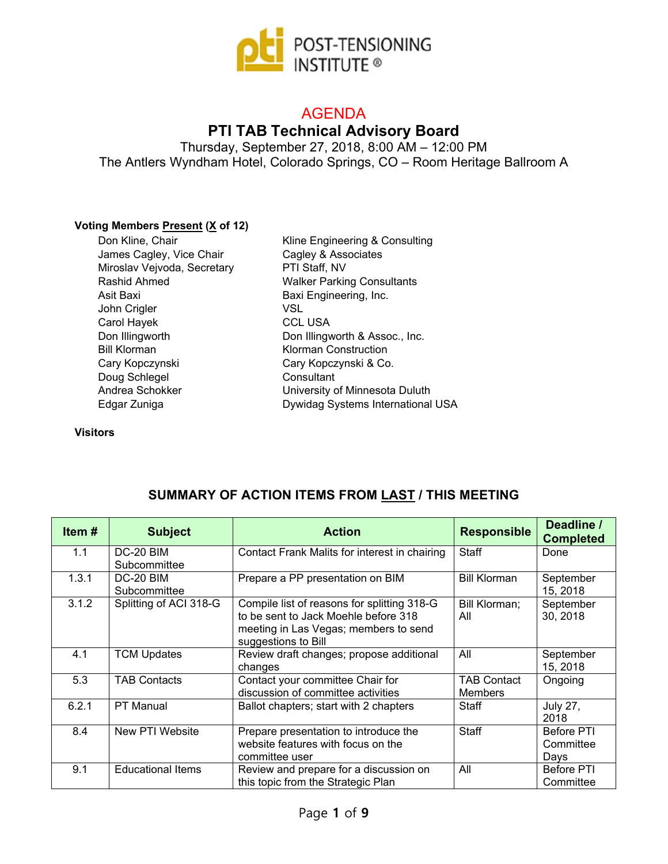

# AGENDA

# **PTI TAB Technical Advisory Board**

Thursday, September 27, 2018, 8:00 AM – 12:00 PM The Antlers Wyndham Hotel, Colorado Springs, CO – Room Heritage Ballroom A

#### **Voting Members Present (X of 12)**

| Don Kline, Chair            | Kline Engineering & Consulting    |
|-----------------------------|-----------------------------------|
| James Cagley, Vice Chair    | Cagley & Associates               |
| Miroslav Vejvoda, Secretary | PTI Staff, NV                     |
| Rashid Ahmed                | <b>Walker Parking Consultants</b> |
| Asit Baxi                   | Baxi Engineering, Inc.            |
| John Crigler                | VSL                               |
| Carol Hayek                 | <b>CCL USA</b>                    |
| Don Illingworth             | Don Illingworth & Assoc., Inc.    |
| <b>Bill Klorman</b>         | <b>Klorman Construction</b>       |
| Cary Kopczynski             | Cary Kopczynski & Co.             |
| Doug Schlegel               | Consultant                        |
| Andrea Schokker             | University of Minnesota Duluth    |
| Edgar Zuniga                | Dywidag Systems International USA |

**Visitors**

| Item# | <b>Subject</b>            | <b>Action</b>                                                                                                                                       | <b>Responsible</b>                   | Deadline /<br><b>Completed</b>  |
|-------|---------------------------|-----------------------------------------------------------------------------------------------------------------------------------------------------|--------------------------------------|---------------------------------|
| 1.1   | DC-20 BIM<br>Subcommittee | Contact Frank Malits for interest in chairing                                                                                                       | <b>Staff</b>                         | Done                            |
| 1.3.1 | DC-20 BIM<br>Subcommittee | Prepare a PP presentation on BIM                                                                                                                    | <b>Bill Klorman</b>                  | September<br>15, 2018           |
| 3.1.2 | Splitting of ACI 318-G    | Compile list of reasons for splitting 318-G<br>to be sent to Jack Moehle before 318<br>meeting in Las Vegas; members to send<br>suggestions to Bill | Bill Klorman;<br>All                 | September<br>30, 2018           |
| 4.1   | <b>TCM Updates</b>        | Review draft changes; propose additional<br>changes                                                                                                 | All                                  | September<br>15, 2018           |
| 5.3   | <b>TAB Contacts</b>       | Contact your committee Chair for<br>discussion of committee activities                                                                              | <b>TAB Contact</b><br><b>Members</b> | Ongoing                         |
| 6.2.1 | <b>PT Manual</b>          | Ballot chapters; start with 2 chapters                                                                                                              | Staff                                | <b>July 27,</b><br>2018         |
| 8.4   | New PTI Website           | Prepare presentation to introduce the<br>website features with focus on the<br>committee user                                                       | Staff                                | Before PTI<br>Committee<br>Days |
| 9.1   | <b>Educational Items</b>  | Review and prepare for a discussion on<br>this topic from the Strategic Plan                                                                        | All                                  | <b>Before PTI</b><br>Committee  |

### **SUMMARY OF ACTION ITEMS FROM LAST / THIS MEETING**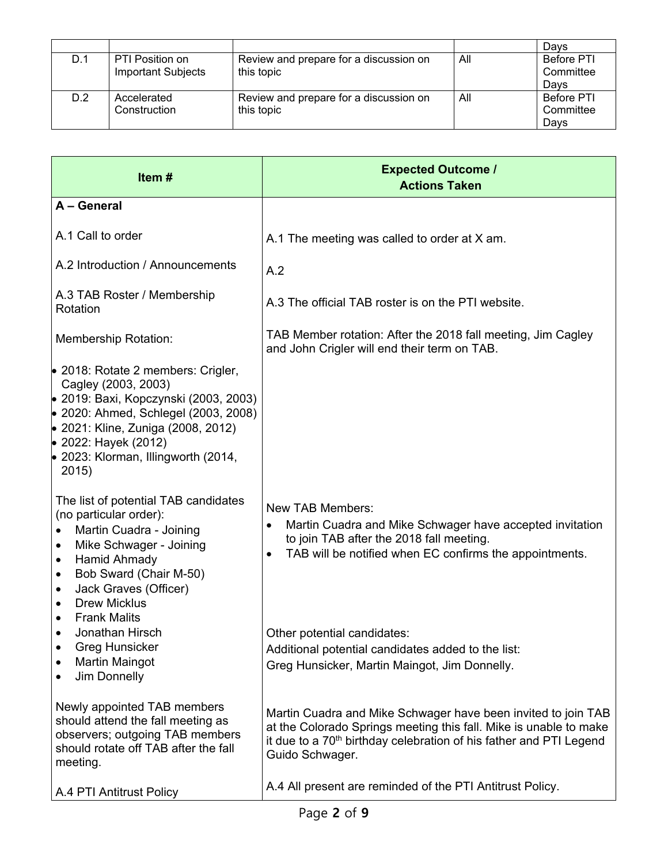|     |                                              |                                                      |     | Davs                                   |
|-----|----------------------------------------------|------------------------------------------------------|-----|----------------------------------------|
| D.1 | PTI Position on<br><b>Important Subjects</b> | Review and prepare for a discussion on<br>this topic | All | <b>Before PTI</b><br>Committee<br>Davs |
| D.2 | Accelerated<br>Construction                  | Review and prepare for a discussion on<br>this topic | All | <b>Before PTI</b><br>Committee<br>Davs |

| Item#                                                                                                                                                                                                                                                                                                           | <b>Expected Outcome /</b><br><b>Actions Taken</b>                                                                                                                                                                                       |
|-----------------------------------------------------------------------------------------------------------------------------------------------------------------------------------------------------------------------------------------------------------------------------------------------------------------|-----------------------------------------------------------------------------------------------------------------------------------------------------------------------------------------------------------------------------------------|
| A - General                                                                                                                                                                                                                                                                                                     |                                                                                                                                                                                                                                         |
| A.1 Call to order                                                                                                                                                                                                                                                                                               | A.1 The meeting was called to order at X am.                                                                                                                                                                                            |
| A.2 Introduction / Announcements                                                                                                                                                                                                                                                                                | A.2                                                                                                                                                                                                                                     |
| A.3 TAB Roster / Membership<br>Rotation                                                                                                                                                                                                                                                                         | A.3 The official TAB roster is on the PTI website.                                                                                                                                                                                      |
| <b>Membership Rotation:</b>                                                                                                                                                                                                                                                                                     | TAB Member rotation: After the 2018 fall meeting, Jim Cagley<br>and John Crigler will end their term on TAB.                                                                                                                            |
| • 2018: Rotate 2 members: Crigler,<br>Cagley (2003, 2003)<br>• 2019: Baxi, Kopczynski (2003, 2003)<br>● 2020: Ahmed, Schlegel (2003, 2008)<br>● 2021: Kline, Zuniga (2008, 2012)<br>● 2022: Hayek (2012)<br>$\bullet$ 2023: Klorman, Illingworth (2014,<br>2015)                                                |                                                                                                                                                                                                                                         |
| The list of potential TAB candidates<br>(no particular order):<br>Martin Cuadra - Joining<br>$\bullet$<br>Mike Schwager - Joining<br>$\bullet$<br><b>Hamid Ahmady</b><br>٠<br>Bob Sward (Chair M-50)<br>٠<br>Jack Graves (Officer)<br>$\bullet$<br><b>Drew Micklus</b><br>$\bullet$<br><b>Frank Malits</b><br>٠ | <b>New TAB Members:</b><br>Martin Cuadra and Mike Schwager have accepted invitation<br>to join TAB after the 2018 fall meeting.<br>TAB will be notified when EC confirms the appointments.<br>$\bullet$                                 |
| Jonathan Hirsch<br>$\bullet$<br><b>Greg Hunsicker</b><br>Martin Maingot<br>٠<br>Jim Donnelly                                                                                                                                                                                                                    | Other potential candidates:<br>Additional potential candidates added to the list:<br>Greg Hunsicker, Martin Maingot, Jim Donnelly.                                                                                                      |
| Newly appointed TAB members<br>should attend the fall meeting as<br>observers; outgoing TAB members<br>should rotate off TAB after the fall<br>meeting.                                                                                                                                                         | Martin Cuadra and Mike Schwager have been invited to join TAB<br>at the Colorado Springs meeting this fall. Mike is unable to make<br>it due to a 70 <sup>th</sup> birthday celebration of his father and PTI Legend<br>Guido Schwager. |
| A.4 PTI Antitrust Policy                                                                                                                                                                                                                                                                                        | A.4 All present are reminded of the PTI Antitrust Policy.                                                                                                                                                                               |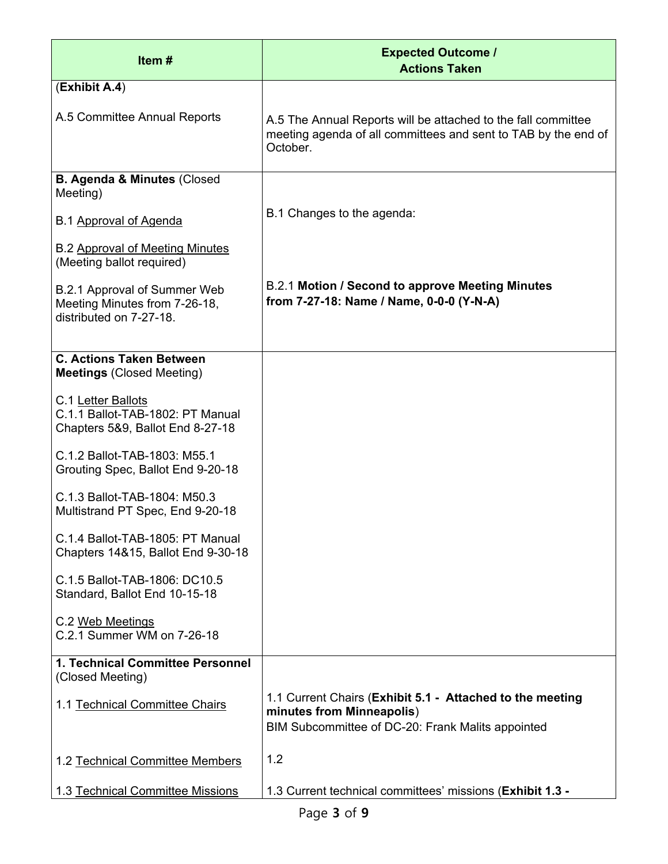| Item $#$                                                                                   | <b>Expected Outcome /</b><br><b>Actions Taken</b>                                                                                           |
|--------------------------------------------------------------------------------------------|---------------------------------------------------------------------------------------------------------------------------------------------|
| (Exhibit A.4)                                                                              |                                                                                                                                             |
| A.5 Committee Annual Reports                                                               | A.5 The Annual Reports will be attached to the fall committee<br>meeting agenda of all committees and sent to TAB by the end of<br>October. |
| <b>B. Agenda &amp; Minutes (Closed</b><br>Meeting)                                         |                                                                                                                                             |
| B.1 Approval of Agenda                                                                     | B.1 Changes to the agenda:                                                                                                                  |
| <b>B.2 Approval of Meeting Minutes</b><br>(Meeting ballot required)                        |                                                                                                                                             |
| B.2.1 Approval of Summer Web<br>Meeting Minutes from 7-26-18,<br>distributed on 7-27-18.   | B.2.1 Motion / Second to approve Meeting Minutes<br>from 7-27-18: Name / Name, 0-0-0 (Y-N-A)                                                |
| <b>C. Actions Taken Between</b><br><b>Meetings (Closed Meeting)</b>                        |                                                                                                                                             |
| C.1 Letter Ballots<br>C.1.1 Ballot-TAB-1802: PT Manual<br>Chapters 5&9, Ballot End 8-27-18 |                                                                                                                                             |
| C.1.2 Ballot-TAB-1803: M55.1<br>Grouting Spec, Ballot End 9-20-18                          |                                                                                                                                             |
| C.1.3 Ballot-TAB-1804: M50.3<br>Multistrand PT Spec, End 9-20-18                           |                                                                                                                                             |
| C.1.4 Ballot-TAB-1805: PT Manual<br>Chapters 14&15, Ballot End 9-30-18                     |                                                                                                                                             |
| C.1.5 Ballot-TAB-1806: DC10.5<br>Standard, Ballot End 10-15-18                             |                                                                                                                                             |
| C.2 Web Meetings<br>C.2.1 Summer WM on 7-26-18                                             |                                                                                                                                             |
| 1. Technical Committee Personnel<br>(Closed Meeting)                                       |                                                                                                                                             |
| 1.1 Technical Committee Chairs                                                             | 1.1 Current Chairs (Exhibit 5.1 - Attached to the meeting<br>minutes from Minneapolis)<br>BIM Subcommittee of DC-20: Frank Malits appointed |
| 1.2 Technical Committee Members                                                            | 1.2                                                                                                                                         |
| 1.3 Technical Committee Missions                                                           | 1.3 Current technical committees' missions (Exhibit 1.3 -                                                                                   |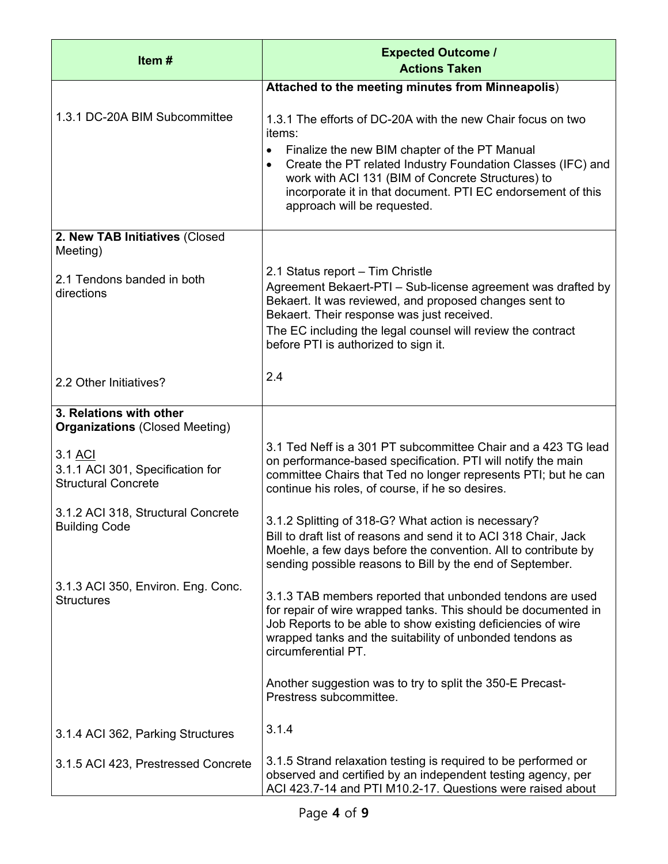| Item#                                                                     | <b>Expected Outcome /</b><br><b>Actions Taken</b>                                                                                                                                                                                                                                                               |
|---------------------------------------------------------------------------|-----------------------------------------------------------------------------------------------------------------------------------------------------------------------------------------------------------------------------------------------------------------------------------------------------------------|
|                                                                           | Attached to the meeting minutes from Minneapolis)                                                                                                                                                                                                                                                               |
| 1.3.1 DC-20A BIM Subcommittee                                             | 1.3.1 The efforts of DC-20A with the new Chair focus on two<br>items:                                                                                                                                                                                                                                           |
|                                                                           | Finalize the new BIM chapter of the PT Manual<br>$\bullet$<br>Create the PT related Industry Foundation Classes (IFC) and<br>$\bullet$<br>work with ACI 131 (BIM of Concrete Structures) to<br>incorporate it in that document. PTI EC endorsement of this<br>approach will be requested.                       |
| 2. New TAB Initiatives (Closed<br>Meeting)                                |                                                                                                                                                                                                                                                                                                                 |
| 2.1 Tendons banded in both<br>directions                                  | 2.1 Status report - Tim Christle<br>Agreement Bekaert-PTI - Sub-license agreement was drafted by<br>Bekaert. It was reviewed, and proposed changes sent to<br>Bekaert. Their response was just received.<br>The EC including the legal counsel will review the contract<br>before PTI is authorized to sign it. |
| 2.2 Other Initiatives?                                                    | 2.4                                                                                                                                                                                                                                                                                                             |
| 3. Relations with other<br><b>Organizations (Closed Meeting)</b>          |                                                                                                                                                                                                                                                                                                                 |
| 3.1 ACI<br>3.1.1 ACI 301, Specification for<br><b>Structural Concrete</b> | 3.1 Ted Neff is a 301 PT subcommittee Chair and a 423 TG lead<br>on performance-based specification. PTI will notify the main<br>committee Chairs that Ted no longer represents PTI; but he can<br>continue his roles, of course, if he so desires.                                                             |
| 3.1.2 ACI 318, Structural Concrete<br><b>Building Code</b>                | 3.1.2 Splitting of 318-G? What action is necessary?<br>Bill to draft list of reasons and send it to ACI 318 Chair, Jack<br>Moehle, a few days before the convention. All to contribute by<br>sending possible reasons to Bill by the end of September.                                                          |
| 3.1.3 ACI 350, Environ. Eng. Conc.<br><b>Structures</b>                   | 3.1.3 TAB members reported that unbonded tendons are used<br>for repair of wire wrapped tanks. This should be documented in<br>Job Reports to be able to show existing deficiencies of wire<br>wrapped tanks and the suitability of unbonded tendons as<br>circumferential PT.                                  |
|                                                                           | Another suggestion was to try to split the 350-E Precast-<br>Prestress subcommittee.                                                                                                                                                                                                                            |
| 3.1.4 ACI 362, Parking Structures                                         | 3.1.4                                                                                                                                                                                                                                                                                                           |
| 3.1.5 ACI 423, Prestressed Concrete                                       | 3.1.5 Strand relaxation testing is required to be performed or<br>observed and certified by an independent testing agency, per<br>ACI 423.7-14 and PTI M10.2-17. Questions were raised about                                                                                                                    |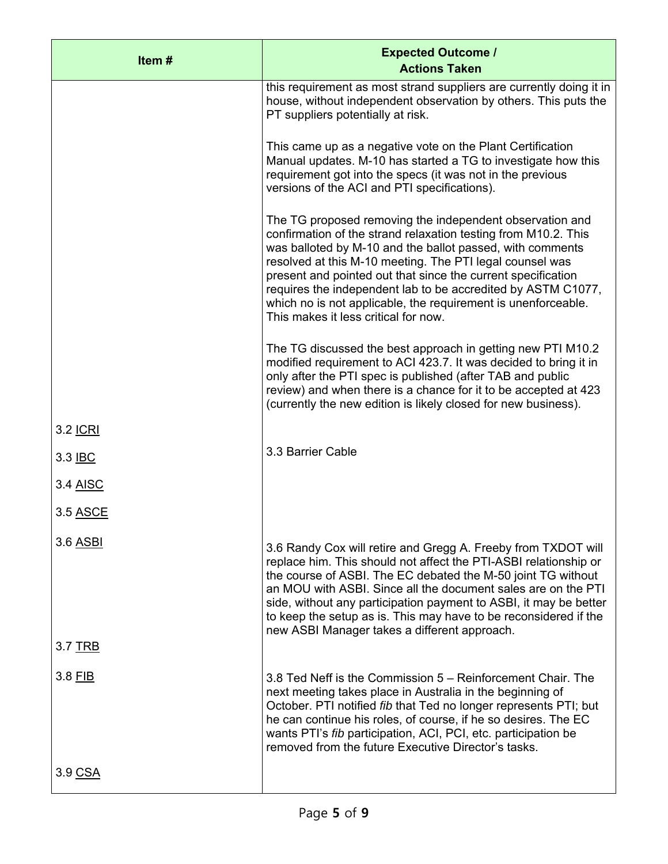| Item#           | <b>Expected Outcome /</b><br><b>Actions Taken</b>                                                                                                                                                                                                                                                                                                                                                                                                                                            |
|-----------------|----------------------------------------------------------------------------------------------------------------------------------------------------------------------------------------------------------------------------------------------------------------------------------------------------------------------------------------------------------------------------------------------------------------------------------------------------------------------------------------------|
|                 | this requirement as most strand suppliers are currently doing it in<br>house, without independent observation by others. This puts the<br>PT suppliers potentially at risk.                                                                                                                                                                                                                                                                                                                  |
|                 | This came up as a negative vote on the Plant Certification<br>Manual updates. M-10 has started a TG to investigate how this<br>requirement got into the specs (it was not in the previous<br>versions of the ACI and PTI specifications).                                                                                                                                                                                                                                                    |
|                 | The TG proposed removing the independent observation and<br>confirmation of the strand relaxation testing from M10.2. This<br>was balloted by M-10 and the ballot passed, with comments<br>resolved at this M-10 meeting. The PTI legal counsel was<br>present and pointed out that since the current specification<br>requires the independent lab to be accredited by ASTM C1077,<br>which no is not applicable, the requirement is unenforceable.<br>This makes it less critical for now. |
|                 | The TG discussed the best approach in getting new PTI M10.2<br>modified requirement to ACI 423.7. It was decided to bring it in<br>only after the PTI spec is published (after TAB and public<br>review) and when there is a chance for it to be accepted at 423<br>(currently the new edition is likely closed for new business).                                                                                                                                                           |
| 3.2 <u>ICRI</u> |                                                                                                                                                                                                                                                                                                                                                                                                                                                                                              |
| 3.3 IBC         | 3.3 Barrier Cable                                                                                                                                                                                                                                                                                                                                                                                                                                                                            |
| 3.4 AISC        |                                                                                                                                                                                                                                                                                                                                                                                                                                                                                              |
| 3.5 ASCE        |                                                                                                                                                                                                                                                                                                                                                                                                                                                                                              |
| 3.6 ASBI        | 3.6 Randy Cox will retire and Gregg A. Freeby from TXDOT will<br>replace him. This should not affect the PTI-ASBI relationship or<br>the course of ASBI. The EC debated the M-50 joint TG without<br>an MOU with ASBI. Since all the document sales are on the PTI<br>side, without any participation payment to ASBI, it may be better<br>to keep the setup as is. This may have to be reconsidered if the                                                                                  |
| 3.7 TRB         | new ASBI Manager takes a different approach.                                                                                                                                                                                                                                                                                                                                                                                                                                                 |
| 3.8 FIB         | 3.8 Ted Neff is the Commission 5 – Reinforcement Chair. The<br>next meeting takes place in Australia in the beginning of<br>October. PTI notified fib that Ted no longer represents PTI; but<br>he can continue his roles, of course, if he so desires. The EC<br>wants PTI's fib participation, ACI, PCI, etc. participation be<br>removed from the future Executive Director's tasks.                                                                                                      |
| 3.9 CSA         |                                                                                                                                                                                                                                                                                                                                                                                                                                                                                              |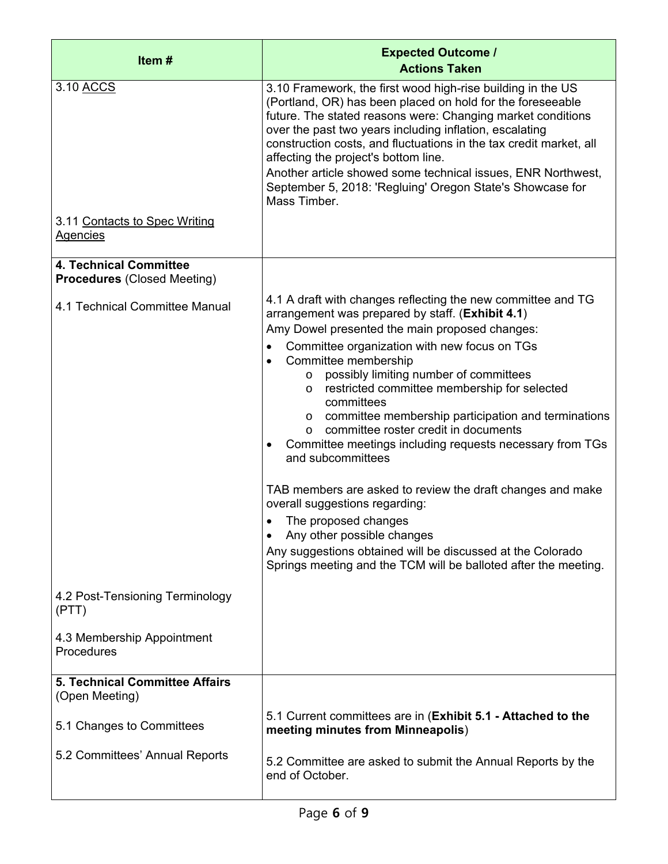| Item#                                                               | <b>Expected Outcome /</b><br><b>Actions Taken</b>                                                                                                                                                                                                                                                                                                                                                                                                                                                                                                                                                                                                                                                                                                                                                                                                                      |
|---------------------------------------------------------------------|------------------------------------------------------------------------------------------------------------------------------------------------------------------------------------------------------------------------------------------------------------------------------------------------------------------------------------------------------------------------------------------------------------------------------------------------------------------------------------------------------------------------------------------------------------------------------------------------------------------------------------------------------------------------------------------------------------------------------------------------------------------------------------------------------------------------------------------------------------------------|
| 3.10 ACCS                                                           | 3.10 Framework, the first wood high-rise building in the US<br>(Portland, OR) has been placed on hold for the foreseeable<br>future. The stated reasons were: Changing market conditions<br>over the past two years including inflation, escalating<br>construction costs, and fluctuations in the tax credit market, all<br>affecting the project's bottom line.<br>Another article showed some technical issues, ENR Northwest,<br>September 5, 2018: 'Regluing' Oregon State's Showcase for<br>Mass Timber.                                                                                                                                                                                                                                                                                                                                                         |
| 3.11 Contacts to Spec Writing<br><b>Agencies</b>                    |                                                                                                                                                                                                                                                                                                                                                                                                                                                                                                                                                                                                                                                                                                                                                                                                                                                                        |
| <b>4. Technical Committee</b><br><b>Procedures (Closed Meeting)</b> |                                                                                                                                                                                                                                                                                                                                                                                                                                                                                                                                                                                                                                                                                                                                                                                                                                                                        |
| 4.1 Technical Committee Manual                                      | 4.1 A draft with changes reflecting the new committee and TG<br>arrangement was prepared by staff. (Exhibit 4.1)<br>Amy Dowel presented the main proposed changes:<br>Committee organization with new focus on TGs<br>Committee membership<br>possibly limiting number of committees<br>$\circ$<br>restricted committee membership for selected<br>$\circ$<br>committees<br>committee membership participation and terminations<br>$\circ$<br>committee roster credit in documents<br>$\Omega$<br>Committee meetings including requests necessary from TGs<br>and subcommittees<br>TAB members are asked to review the draft changes and make<br>overall suggestions regarding:<br>The proposed changes<br>Any other possible changes<br>Any suggestions obtained will be discussed at the Colorado<br>Springs meeting and the TCM will be balloted after the meeting. |
| 4.2 Post-Tensioning Terminology<br>(PTT)                            |                                                                                                                                                                                                                                                                                                                                                                                                                                                                                                                                                                                                                                                                                                                                                                                                                                                                        |
| 4.3 Membership Appointment<br>Procedures                            |                                                                                                                                                                                                                                                                                                                                                                                                                                                                                                                                                                                                                                                                                                                                                                                                                                                                        |
| <b>5. Technical Committee Affairs</b><br>(Open Meeting)             |                                                                                                                                                                                                                                                                                                                                                                                                                                                                                                                                                                                                                                                                                                                                                                                                                                                                        |
| 5.1 Changes to Committees                                           | 5.1 Current committees are in (Exhibit 5.1 - Attached to the<br>meeting minutes from Minneapolis)                                                                                                                                                                                                                                                                                                                                                                                                                                                                                                                                                                                                                                                                                                                                                                      |
| 5.2 Committees' Annual Reports                                      | 5.2 Committee are asked to submit the Annual Reports by the<br>end of October.                                                                                                                                                                                                                                                                                                                                                                                                                                                                                                                                                                                                                                                                                                                                                                                         |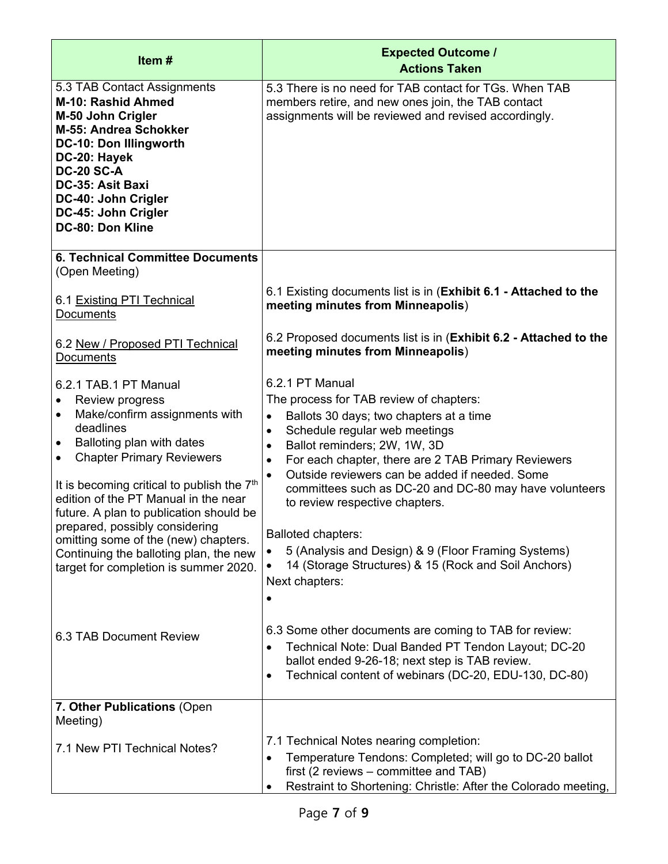| Item#                                                                                                                                                                                                                                                                                                                                                                                                                                                                                                                                    | <b>Expected Outcome /</b><br><b>Actions Taken</b>                                                                                                                                                                                                                                                                                                                                                                                                                                                                                                                                                                                                                                                                                                                             |
|------------------------------------------------------------------------------------------------------------------------------------------------------------------------------------------------------------------------------------------------------------------------------------------------------------------------------------------------------------------------------------------------------------------------------------------------------------------------------------------------------------------------------------------|-------------------------------------------------------------------------------------------------------------------------------------------------------------------------------------------------------------------------------------------------------------------------------------------------------------------------------------------------------------------------------------------------------------------------------------------------------------------------------------------------------------------------------------------------------------------------------------------------------------------------------------------------------------------------------------------------------------------------------------------------------------------------------|
| 5.3 TAB Contact Assignments<br>M-10: Rashid Ahmed<br>M-50 John Crigler<br>M-55: Andrea Schokker<br>DC-10: Don Illingworth<br>DC-20: Hayek<br><b>DC-20 SC-A</b><br>DC-35: Asit Baxi<br>DC-40: John Crigler<br>DC-45: John Crigler<br>DC-80: Don Kline                                                                                                                                                                                                                                                                                     | 5.3 There is no need for TAB contact for TGs. When TAB<br>members retire, and new ones join, the TAB contact<br>assignments will be reviewed and revised accordingly.                                                                                                                                                                                                                                                                                                                                                                                                                                                                                                                                                                                                         |
| <b>6. Technical Committee Documents</b><br>(Open Meeting)                                                                                                                                                                                                                                                                                                                                                                                                                                                                                |                                                                                                                                                                                                                                                                                                                                                                                                                                                                                                                                                                                                                                                                                                                                                                               |
| 6.1 Existing PTI Technical<br><b>Documents</b>                                                                                                                                                                                                                                                                                                                                                                                                                                                                                           | 6.1 Existing documents list is in (Exhibit 6.1 - Attached to the<br>meeting minutes from Minneapolis)                                                                                                                                                                                                                                                                                                                                                                                                                                                                                                                                                                                                                                                                         |
| 6.2 New / Proposed PTI Technical<br>Documents                                                                                                                                                                                                                                                                                                                                                                                                                                                                                            | 6.2 Proposed documents list is in (Exhibit 6.2 - Attached to the<br>meeting minutes from Minneapolis)                                                                                                                                                                                                                                                                                                                                                                                                                                                                                                                                                                                                                                                                         |
| 6.2.1 TAB.1 PT Manual<br>Review progress<br>$\bullet$<br>Make/confirm assignments with<br>٠<br>deadlines<br>Balloting plan with dates<br>$\bullet$<br><b>Chapter Primary Reviewers</b><br>$\bullet$<br>It is becoming critical to publish the 7 <sup>th</sup><br>edition of the PT Manual in the near<br>future. A plan to publication should be<br>prepared, possibly considering<br>omitting some of the (new) chapters.<br>Continuing the balloting plan, the new<br>target for completion is summer 2020.<br>6.3 TAB Document Review | 6.2.1 PT Manual<br>The process for TAB review of chapters:<br>Ballots 30 days; two chapters at a time<br>$\bullet$<br>Schedule regular web meetings<br>$\bullet$<br>Ballot reminders; 2W, 1W, 3D<br>$\bullet$<br>For each chapter, there are 2 TAB Primary Reviewers<br>$\bullet$<br>Outside reviewers can be added if needed. Some<br>$\bullet$<br>committees such as DC-20 and DC-80 may have volunteers<br>to review respective chapters.<br><b>Balloted chapters:</b><br>5 (Analysis and Design) & 9 (Floor Framing Systems)<br>14 (Storage Structures) & 15 (Rock and Soil Anchors)<br>Next chapters:<br>6.3 Some other documents are coming to TAB for review:<br>Technical Note: Dual Banded PT Tendon Layout; DC-20<br>ballot ended 9-26-18; next step is TAB review. |
| 7. Other Publications (Open                                                                                                                                                                                                                                                                                                                                                                                                                                                                                                              | Technical content of webinars (DC-20, EDU-130, DC-80)<br>$\bullet$                                                                                                                                                                                                                                                                                                                                                                                                                                                                                                                                                                                                                                                                                                            |
| Meeting)                                                                                                                                                                                                                                                                                                                                                                                                                                                                                                                                 |                                                                                                                                                                                                                                                                                                                                                                                                                                                                                                                                                                                                                                                                                                                                                                               |
| 7.1 New PTI Technical Notes?                                                                                                                                                                                                                                                                                                                                                                                                                                                                                                             | 7.1 Technical Notes nearing completion:<br>Temperature Tendons: Completed; will go to DC-20 ballot<br>first (2 reviews – committee and TAB)<br>Restraint to Shortening: Christle: After the Colorado meeting,                                                                                                                                                                                                                                                                                                                                                                                                                                                                                                                                                                 |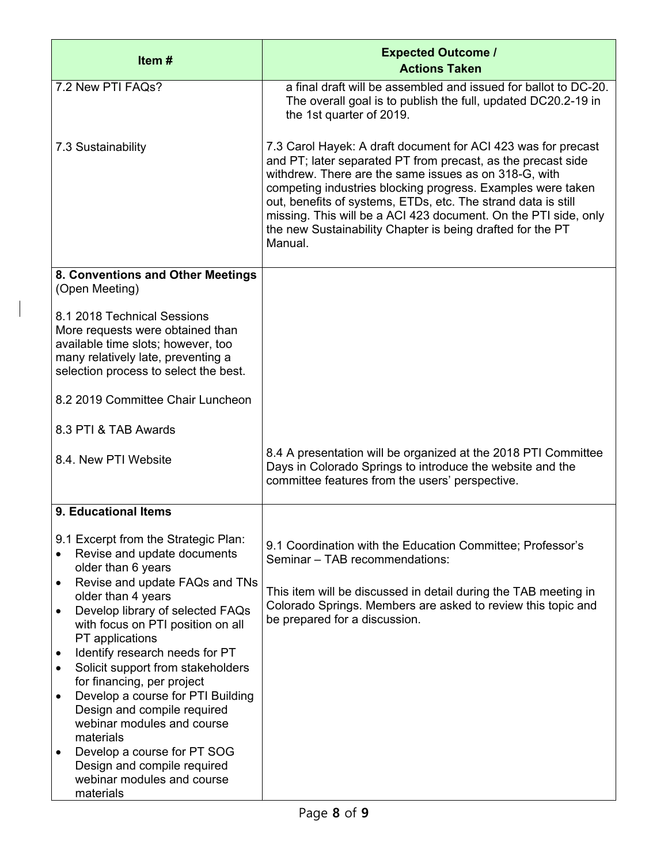| Item#                                                                                                                                                                                                                                                                                                                                                                                                                                                                                                                                                                                                         | <b>Expected Outcome /</b><br><b>Actions Taken</b>                                                                                                                                                                                                                                                                                                                                                                                                                  |
|---------------------------------------------------------------------------------------------------------------------------------------------------------------------------------------------------------------------------------------------------------------------------------------------------------------------------------------------------------------------------------------------------------------------------------------------------------------------------------------------------------------------------------------------------------------------------------------------------------------|--------------------------------------------------------------------------------------------------------------------------------------------------------------------------------------------------------------------------------------------------------------------------------------------------------------------------------------------------------------------------------------------------------------------------------------------------------------------|
| 7.2 New PTI FAQs?                                                                                                                                                                                                                                                                                                                                                                                                                                                                                                                                                                                             | a final draft will be assembled and issued for ballot to DC-20.<br>The overall goal is to publish the full, updated DC20.2-19 in<br>the 1st quarter of 2019.                                                                                                                                                                                                                                                                                                       |
| 7.3 Sustainability                                                                                                                                                                                                                                                                                                                                                                                                                                                                                                                                                                                            | 7.3 Carol Hayek: A draft document for ACI 423 was for precast<br>and PT; later separated PT from precast, as the precast side<br>withdrew. There are the same issues as on 318-G, with<br>competing industries blocking progress. Examples were taken<br>out, benefits of systems, ETDs, etc. The strand data is still<br>missing. This will be a ACI 423 document. On the PTI side, only<br>the new Sustainability Chapter is being drafted for the PT<br>Manual. |
| 8. Conventions and Other Meetings<br>(Open Meeting)                                                                                                                                                                                                                                                                                                                                                                                                                                                                                                                                                           |                                                                                                                                                                                                                                                                                                                                                                                                                                                                    |
| 8.1 2018 Technical Sessions<br>More requests were obtained than<br>available time slots; however, too<br>many relatively late, preventing a<br>selection process to select the best.                                                                                                                                                                                                                                                                                                                                                                                                                          |                                                                                                                                                                                                                                                                                                                                                                                                                                                                    |
| 8.2 2019 Committee Chair Luncheon                                                                                                                                                                                                                                                                                                                                                                                                                                                                                                                                                                             |                                                                                                                                                                                                                                                                                                                                                                                                                                                                    |
| 8.3 PTI & TAB Awards                                                                                                                                                                                                                                                                                                                                                                                                                                                                                                                                                                                          |                                                                                                                                                                                                                                                                                                                                                                                                                                                                    |
| 8.4. New PTI Website                                                                                                                                                                                                                                                                                                                                                                                                                                                                                                                                                                                          | 8.4 A presentation will be organized at the 2018 PTI Committee<br>Days in Colorado Springs to introduce the website and the<br>committee features from the users' perspective.                                                                                                                                                                                                                                                                                     |
| 9. Educational Items                                                                                                                                                                                                                                                                                                                                                                                                                                                                                                                                                                                          |                                                                                                                                                                                                                                                                                                                                                                                                                                                                    |
| 9.1 Excerpt from the Strategic Plan:<br>Revise and update documents<br>older than 6 years<br>Revise and update FAQs and TNs<br>$\bullet$<br>older than 4 years<br>Develop library of selected FAQs<br>$\bullet$<br>with focus on PTI position on all<br>PT applications<br>Identify research needs for PT<br>$\bullet$<br>Solicit support from stakeholders<br>$\bullet$<br>for financing, per project<br>Develop a course for PTI Building<br>$\bullet$<br>Design and compile required<br>webinar modules and course<br>materials<br>Develop a course for PT SOG<br>$\bullet$<br>Design and compile required | 9.1 Coordination with the Education Committee; Professor's<br>Seminar - TAB recommendations:<br>This item will be discussed in detail during the TAB meeting in<br>Colorado Springs. Members are asked to review this topic and<br>be prepared for a discussion.                                                                                                                                                                                                   |
| webinar modules and course<br>materials                                                                                                                                                                                                                                                                                                                                                                                                                                                                                                                                                                       |                                                                                                                                                                                                                                                                                                                                                                                                                                                                    |